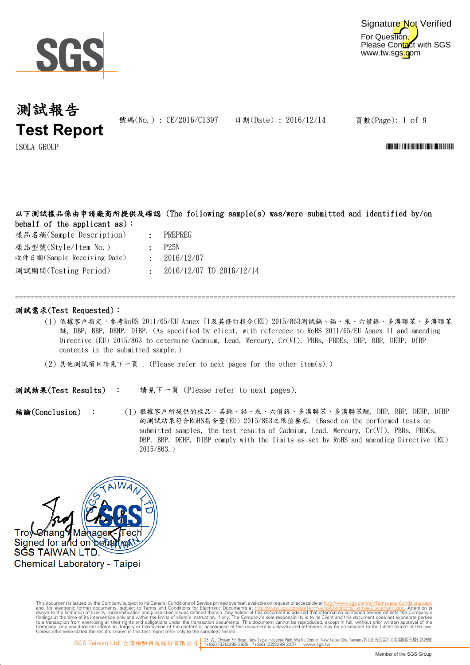



號碼(No.): CE/2016/C1397 日期(Date): 2016/12/14

頁數(Page): 1 of 9

 $\text{I} \text{SOLA}$   $\text{GROUP}$   $\blacksquare$ 

### 以下測試樣品係由申請廠商所提供及確認 (The following sample(s) was/were submitted and identified by/on behalf of the applicant as):

| 樣品名稱(Sample Description)    |
|-----------------------------|
| 樣品型號(Style/Item No.)        |
| 收件日期(Sample Receiving Date) |

- : PREPREG
	- : P25N
	- : 2016/12/07
	- : 2016/12/07 TO 2016/12/14

### 測試需求(Test Requested):

測試期間(Testing Period)

(1) 依據客戶指定,參考RoHS 2011/65/EU Annex II及其修訂指令(EU) 2015/863測試鎘、鉛、汞、六價鉻、多溴聯苯、多溴聯苯 醚, DBP, BBP, DEHP, DIBP. (As specified by client, with reference to RoHS 2011/65/EU Annex II and amending Directive (EU) 2015/863 to determine Cadmium, Lead, Mercury, Cr(VI), PBBs, PBDEs, DBP, BBP, DEHP, DIBP contents in the submitted sample.)

=============================================================================================================================

(2) 其他測試項目請見下一頁 . (Please refer to next pages for the other item(s).)

請見下一頁 (Please refer to next pages). 測試結果(Test Results) :

(1) 根據客戶所提供的樣品,其鎬、鉛、汞、六價鉻、多溴聯苯、多溴聯苯醚, DBP, BBP, DEHP, DIBP 結論(Conclusion) : 的測試結果符合RoHS指令暨(EU) 2015/863之限值要求. (Based on the performed tests on submitted samples, the test results of Cadmium, Lead, Mercury, Cr(VI), PBBs, PBDEs, DBP, BBP, DEHP, DIBP comply with the limits as set by RoHS and amending Directive (EU) 2015/863.)



Digitally signed by ww.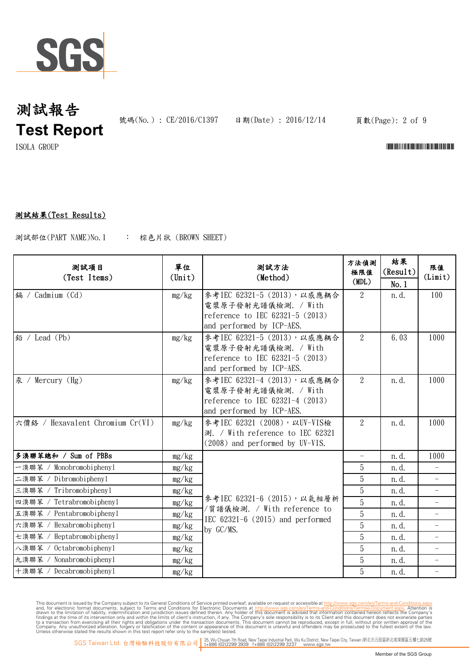

號碼(No.): CE/2016/C1397 日期(Date): 2016/12/14

頁數(Page): 2 of 9

 $\Gamma$ ISOLA GROUP  $\Gamma$ 

## 測試結果(Test Results)

: 棕色片狀 (BROWN SHEET) 測試部位(PART NAME)No.1

| 测試項目<br>(Test Items)             | 單位<br>$(\text{Unit})$ | 测試方法<br>(Method)                                                                                                       | 方法偵測<br>極限值<br>(MDL)     | 結果<br>(Result)<br>No.1 | 限值<br>(Limit)            |
|----------------------------------|-----------------------|------------------------------------------------------------------------------------------------------------------------|--------------------------|------------------------|--------------------------|
| 編 / Cadmium (Cd)                 | mg/kg                 | 參考IEC 62321-5 (2013), 以感應耦合<br>電漿原子發射光譜儀檢測. / With<br>reference to IEC 62321-5 (2013)<br>and performed by ICP-AES.     | $2^{\circ}$              | n.d.                   | 100                      |
| 鉛 / Lead (Pb)                    | mg/kg                 | 參考IEC 62321-5 (2013), 以感應耦合<br>電漿原子發射光譜儀檢測. / With<br>reference to IEC 62321-5 (2013)<br>and performed by ICP-AES.     | $\overline{2}$           | 6.03                   | 1000                     |
| 汞 / Mercury (Hg)                 | mg/kg                 | 參考IEC 62321-4 (2013), 以感應耦合<br>電漿原子發射光譜儀檢測. / With<br>reference to IEC $62321-4$ $(2013)$<br>and performed by ICP-AES. | $\overline{2}$           | n. d.                  | 1000                     |
| 六價鉻 / Hexavalent Chromium Cr(VI) | mg/kg                 | 參考IEC 62321 (2008), 以UV-VIS檢<br>測. / With reference to IEC 62321<br>$(2008)$ and performed by UV-VIS.                  | $\overline{2}$           | n. d.                  | 1000                     |
| 多溴聯苯總和 / Sum of PBBs             | mg/kg                 |                                                                                                                        | $\overline{\phantom{a}}$ | n. d.                  | 1000                     |
| 一溴聯苯 / Monobromobiphenyl         | mg/kg                 |                                                                                                                        | 5                        | n. d.                  |                          |
| 二溴聯苯 / Dibromobiphenyl           | mg/kg                 | 參考IEC 62321-6 (2015), 以氣相層析<br>/質譜儀檢測. / With reference to<br>IEC $62321-6$ (2015) and performed<br>by GC/MS.          | 5                        | n. d.                  |                          |
| 三溴聯苯 / Tribromobiphenyl          | mg/kg                 |                                                                                                                        | 5                        | n. d.                  | $\overline{\phantom{a}}$ |
| 四溴聯苯 / Tetrabromobiphenyl        | mg/kg                 |                                                                                                                        | 5                        | n. d.                  | $\overline{\phantom{0}}$ |
| 五溴聯苯 / Pentabromobiphenyl        | mg/kg                 |                                                                                                                        | 5                        | n. d.                  |                          |
| Hexabromobiphenyl<br>六溴聯苯 /      | mg/kg                 |                                                                                                                        | 5                        | n.d.                   | $\overline{\phantom{0}}$ |
| Heptabromobiphenyl<br>七溴聯苯 /     | mg/kg                 |                                                                                                                        | 5                        | n. d.                  | $\overline{\phantom{a}}$ |
| Octabromobiphenyl<br>八溴聯苯 /      | mg/kg                 |                                                                                                                        | 5                        | n. d.                  |                          |
| 九溴聯苯 / Nonabromobiphenyl         | mg/kg                 |                                                                                                                        | 5                        | n. d.                  | $\overline{\phantom{0}}$ |
| 十溴聯苯 / Decabromobiphenyl         | mg/kg                 |                                                                                                                        | 5                        | n. d.                  | $\overline{\phantom{a}}$ |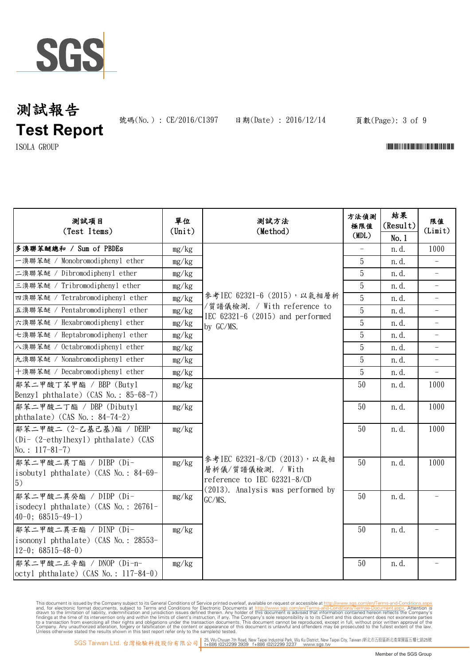

號碼(No.): CE/2016/C1397 日期(Date): 2016/12/14

### 頁數(Page): 3 of 9

## $\Gamma$ ISOLA GROUP  $\Gamma$

| 测試項目<br>(Test Items)                                                                          | 單位<br>$(\text{Unit})$ | 測試方法<br>(Method)                                                                                                                   | 方法偵測<br>極限值 | 結果<br>(Result) | 限值<br>(Limit)            |
|-----------------------------------------------------------------------------------------------|-----------------------|------------------------------------------------------------------------------------------------------------------------------------|-------------|----------------|--------------------------|
|                                                                                               |                       |                                                                                                                                    | (MDL)       | No.1           |                          |
| 多溴聯苯醚總和 / Sum of PBDEs                                                                        | mg/kg                 |                                                                                                                                    |             | n.d.           | 1000                     |
| 一溴聯苯醚 / Monobromodiphenyl ether                                                               | mg/kg                 |                                                                                                                                    | 5           | n. d.          | $\overline{\phantom{0}}$ |
| 二溴聯苯醚 / Dibromodiphenyl ether                                                                 | mg/kg                 |                                                                                                                                    | 5           | n. d.          |                          |
| 三溴聯苯醚 / Tribromodiphenyl ether                                                                | mg/kg                 |                                                                                                                                    | 5           | n.d.           | $\overline{\phantom{0}}$ |
| 四溴聯苯醚 / Tetrabromodiphenyl ether                                                              | mg/kg                 | 參考IEC 62321-6 (2015), 以氣相層析                                                                                                        | 5           | n. d.          | $\overline{\phantom{0}}$ |
| 五溴聯苯醚 / Pentabromodiphenyl ether                                                              | mg/kg                 | /質譜儀檢測. / With reference to<br>IEC $62321-6$ $(2015)$ and performed                                                                | 5           | n. d.          |                          |
| 六溴聯苯醚 / Hexabromodiphenyl ether                                                               | mg/kg                 | by GC/MS.                                                                                                                          | 5           | n.d.           | $\overline{\phantom{0}}$ |
| 七溴聯苯醚 / Heptabromodiphenyl ether                                                              | mg/kg                 |                                                                                                                                    | 5           | n.d.           |                          |
| 八溴聯苯醚 / Octabromodiphenyl ether                                                               | mg/kg                 |                                                                                                                                    | 5           | n. d.          | $\qquad \qquad -$        |
| 九溴聯苯醚 / Nonabromodiphenyl ether                                                               | mg/kg                 |                                                                                                                                    | 5           | n. d.          |                          |
| 十溴聯苯醚 / Decabromodiphenyl ether                                                               | mg/kg                 |                                                                                                                                    | 5           | n. d.          |                          |
| 鄰苯二甲酸丁苯甲酯 / BBP (Butyl<br>Benzyl phthalate) (CAS No.: 85-68-7)                                | mg/kg                 | 參考IEC 62321-8/CD (2013), 以氣相<br>層析儀/質譜儀檢測. / With<br>reference to IEC 62321-8/CD<br>$(2013)$ . Analysis was performed by<br>GC/MS. | 50          | n. d.          | 1000                     |
| 鄰苯二甲酸二丁酯 / DBP (Dibuty1<br>phthalate) (CAS No.: $84-74-2$ )                                   | mg/kg                 |                                                                                                                                    | 50          | n.d.           | 1000                     |
| 鄰苯二甲酸二 (2-乙基己基)酯 / DEHP<br>$(Di - (2-\text{ethylhexyl})$ phthalate) (CAS<br>No.: $117-81-7$ ) | mg/kg                 |                                                                                                                                    | 50          | n. d.          | 1000                     |
| 鄰苯二甲酸二異丁酯 / DIBP (Di-<br>isobutyl phthalate) (CAS No.: 84-69-<br>5)                           | mg/kg                 |                                                                                                                                    | 50          | n. d.          | 1000                     |
| 鄰苯二甲酸二異癸酯 / DIDP (Di-<br>isodecyl phthalate) (CAS No.: 26761-<br>$40-0$ ; 68515-49-1)         | mg/kg                 |                                                                                                                                    | 50          | n.d.           |                          |
| 鄰苯二甲酸二異壬酯 / DINP (Di-<br>isononyl phthalate) (CAS No.: 28553-<br>$12-0$ ; 68515-48-0)         | mg/kg                 |                                                                                                                                    | 50          | n. d.          |                          |
| 鄰苯二甲酸二正辛酯 / DNOP (Di-n-<br>octyl phthalate) (CAS No.: $117-84-0$ )                            | mg/kg                 |                                                                                                                                    | 50          | n.d.           |                          |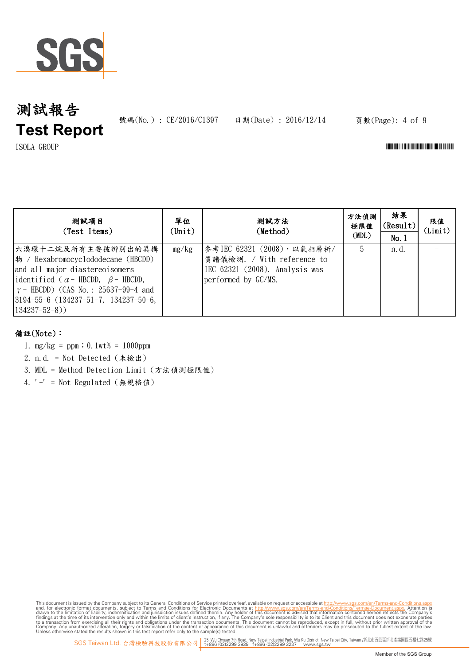

號碼(No.): CE/2016/C1397 日期(Date): 2016/12/14

## 頁數(Page): 4 of 9

 $\Gamma$ ISOLA GROUP  $\Gamma$ 

| 测試項目<br>(Test Items)                                                                                                                                                                                                                                                  | 單位<br>(Unit) | 測試方法<br>(Method)                                                                                                  | 方法偵測<br>極限值<br>(MDL) | 結果<br>(Result)<br>No.1 | 限值<br>(Limit) |
|-----------------------------------------------------------------------------------------------------------------------------------------------------------------------------------------------------------------------------------------------------------------------|--------------|-------------------------------------------------------------------------------------------------------------------|----------------------|------------------------|---------------|
| 六溴環十二烷及所有主要被辨別出的異構<br>$ \n\angle$ / Hexabromocyclododecane (HBCDD)<br>and all major diastereoisomers<br>identified ( $\alpha$ - HBCDD, $\beta$ - HBCDD,<br>$\gamma$ – HBCDD) (CAS No.: 25637-99-4 and<br>$ 3194-55-6(134237-51-7, 134237-50-6,$<br>$134237 - 52 - 8)$ | mg/kg        | 參考IEC 62321 (2008), 以氣相層析/<br>質譜儀檢測. / With reference to<br>IEC 62321 (2008). Analysis was<br>performed by GC/MS. | 5                    | n. d.                  |               |

## 備註(Note):

- 1. mg/kg = ppm;0.1wt% = 1000ppm
- 2. n.d. = Not Detected (未檢出)
- 3. MDL = Method Detection Limit (方法偵測極限值)
- 4. "-" = Not Regulated (無規格值)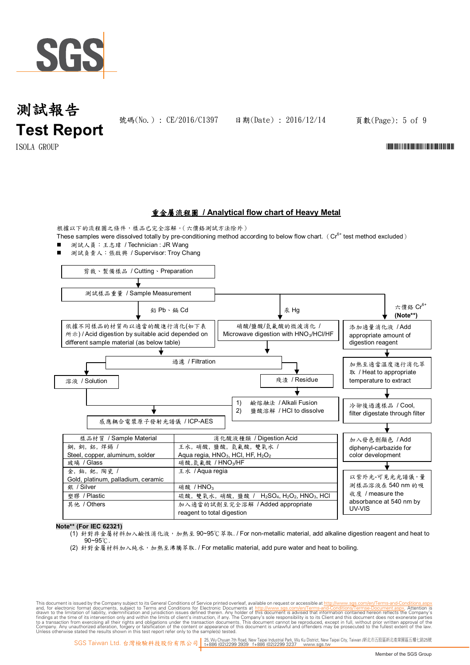

號碼(No.): CE/2016/C1397 日期(Date): 2016/12/14

頁數(Page): 5 of 9

## $\Gamma$ SOLA GROUP  $\Gamma$

## 重金屬流程圖 **/ Analytical flow chart of Heavy Metal**

根據以下的流程圖之條件,樣品已完全溶解。(六價鉻測試方法除外) These samples were dissolved totally by pre-conditioning method according to below flow chart. ( $Cr^{6+}$  test method excluded)

■ 測試人員:王志瑋 / Technician : JR Wang





**Note\*\* (For IEC 62321)**

- (1) 針對非金屬材料加入鹼性消化液,加熱至 90~95℃萃取. / For non-metallic material, add alkaline digestion reagent and heat to 90~95℃.
- (2) 針對金屬材料加入純水,加熱至沸騰萃取. / For metallic material, add pure water and heat to boiling.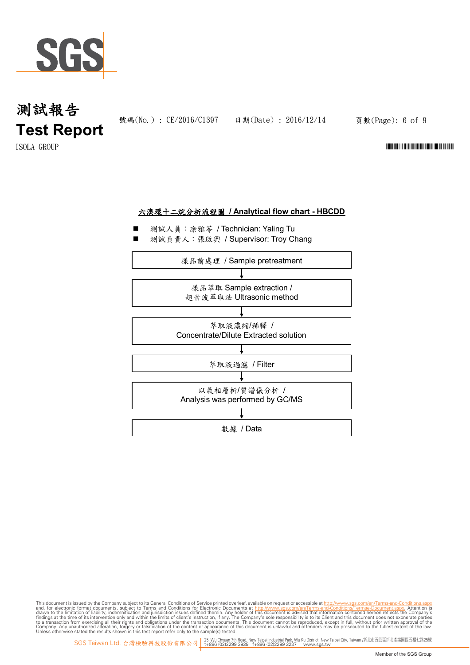

號碼(No.) : CE/2016/C1397 日期(Date) : 2016/12/14

頁數(Page): 6 of 9

 $\blacksquare$ ISOLA GROUP  $\blacksquare$ 



- 測試人員:涂雅苓 / Technician: Yaling Tu
- 測試負責人:張啟興 / Supervisor: Troy Chang

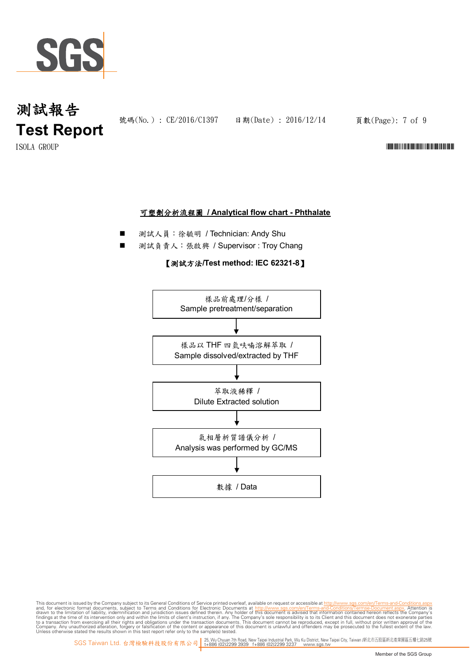

號碼(No.): CE/2016/C1397 日期(Date): 2016/12/14

頁數(Page): 7 of 9

 $\blacksquare$ ISOLA GROUP  $\blacksquare$ 

### 可塑劑分析流程圖 **/ Analytical flow chart - Phthalate**

- 測試人員:徐毓明 / Technician: Andy Shu
- 測試負責人:張啟興 / Supervisor : Troy Chang

#### 【測試方法**/Test method: IEC 62321-8**】

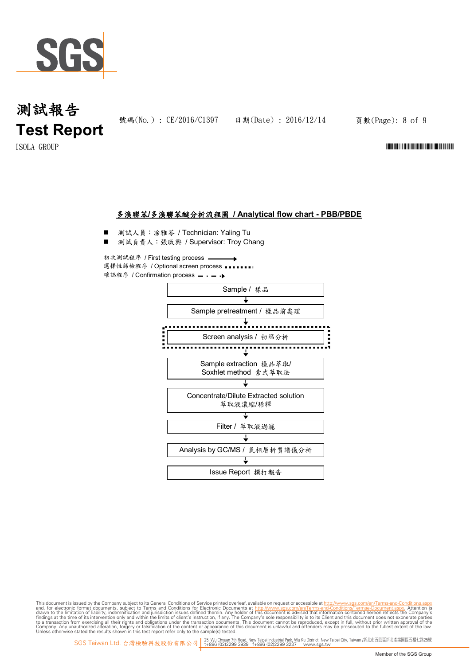

號碼(No.) : CE/2016/C1397 日期(Date) : 2016/12/14

頁數(Page): 8 of 9

 $\blacksquare$ ISOLA GROUP  $\blacksquare$ 

### 多溴聯苯**/**多溴聯苯醚分析流程圖 **/ Analytical flow chart - PBB/PBDE**

測試人員:凃雅苓 / Technician: Yaling Tu

測試負責人:張啟興 / Supervisor: Troy Chang

初次測試程序 / First testing process 選擇性篩檢程序 / Optional screen process 確認程序 / Confirmation process = · - →